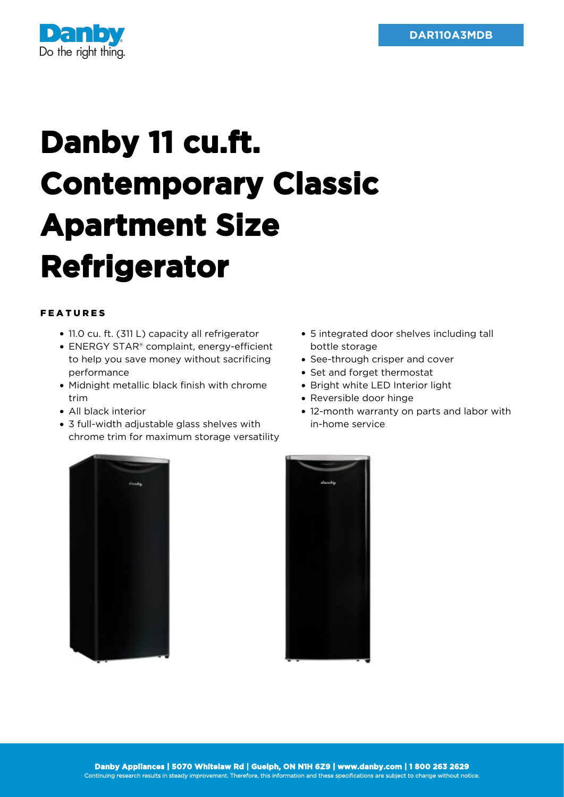

## **Danby 11 cu.ft. Contemporary Classic Apartment Size Refrigerator**

## FEATURES

- 11.0 cu. ft. (311 L) capacity all refrigerator
- ENERGY STAR® complaint, energy-efficient to help you save money without sacrificing performance
- Midnight metallic black finish with chrome trim
- All black interior
- 3 full-width adjustable glass shelves with chrome trim for maximum storage versatility
- 5 integrated door shelves including tall bottle storage
- See-through crisper and cover
- Set and forget thermostat
- Bright white LED Interior light
- Reversible door hinge
- 12-month warranty on parts and labor with in-home service